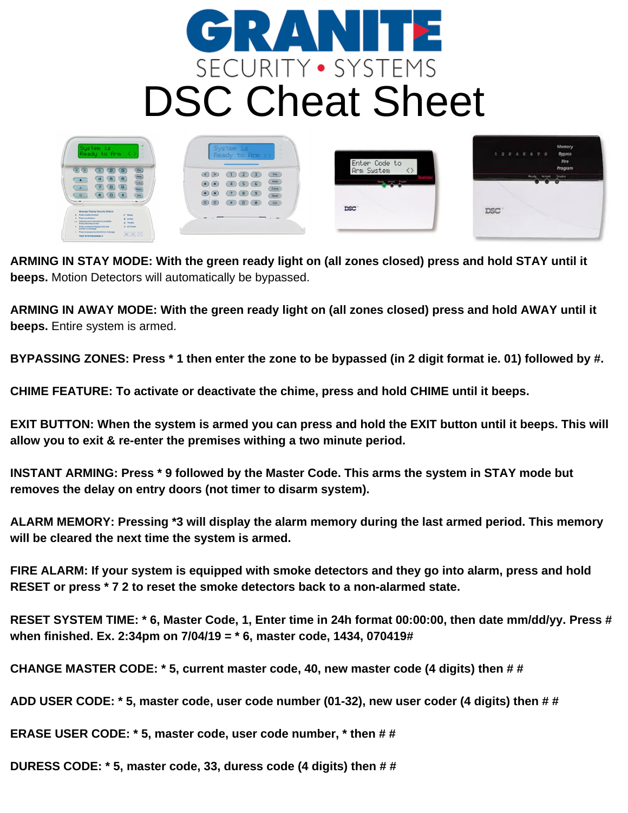



ARMING IN STAY MODE: With the green ready light on (all zones closed) press and hold STAY until it **beeps.** Motion Detectors will automatically be bypassed.

ARMING IN AWAY MODE: With the green ready light on (all zones closed) press and hold AWAY until it **beeps.** Entire system is armed.

BYPASSING ZONES: Press \* 1 then enter the zone to be bypassed (in 2 digit format ie. 01) followed by #.

**CHIME FEATURE: To activate or deactivate the chime, press and hold CHIME until it beeps.**

EXIT BUTTON: When the system is armed you can press and hold the EXIT button until it beeps. This will **allow you to exit & re-enter the premises withing a two minute period.**

**INSTANT ARMING: Press \* 9 followed by the Master Code. This arms the system in STAY mode but removes the delay on entry doors (not timer to disarm system).**

**ALARM MEMORY: Pressing \*3 will display the alarm memory during the last armed period. This memory will be cleared the next time the system is armed.**

**FIRE ALARM: If your system is equipped with smoke detectors and they go into alarm, press and hold RESET or press \* 7 2 to reset the smoke detectors back to a non-alarmed state.**

RESET SYSTEM TIME: \* 6, Master Code, 1, Enter time in 24h format 00:00:00, then date mm/dd/yy. Press # **when finished. Ex. 2:34pm on 7/04/19 = \* 6, master code, 1434, 070419#**

**CHANGE MASTER CODE: \* 5, current master code, 40, new master code (4 digits) then # #**

ADD USER CODE: \* 5, master code, user code number (01-32), new user coder (4 digits) then # #

**ERASE USER CODE: \* 5, master code, user code number, \* then # #**

**DURESS CODE: \* 5, master code, 33, duress code (4 digits) then # #**